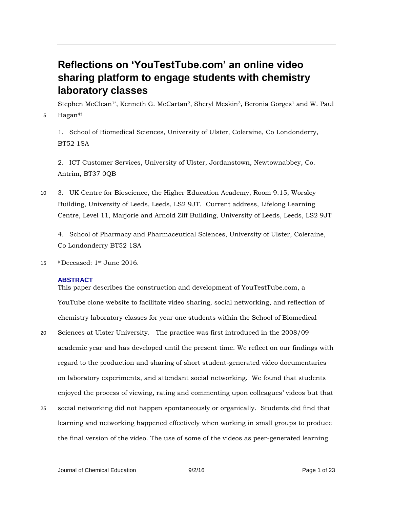# **Reflections on 'YouTestTube.com' an online video sharing platform to engage students with chemistry laboratory classes**

Stephen McClean<sup>1\*</sup>, Kenneth G. McCartan<sup>2</sup>, Sheryl Meskin<sup>3</sup>, Beronia Gorges<sup>1</sup> and W. Paul 5 Hagan<sup>4‡</sup>

1. School of Biomedical Sciences, University of Ulster, Coleraine, Co Londonderry, BT52 1SA

2. ICT Customer Services, University of Ulster, Jordanstown, Newtownabbey, Co. Antrim, BT37 0QB

10 3. UK Centre for Bioscience, the Higher Education Academy, Room 9.15, Worsley Building, University of Leeds, Leeds, LS2 9JT. Current address, Lifelong Learning Centre, Level 11, Marjorie and Arnold Ziff Building, University of Leeds, Leeds, LS2 9JT

4. School of Pharmacy and Pharmaceutical Sciences, University of Ulster, Coleraine, Co Londonderry BT52 1SA

15 ‡ Deceased: 1st June 2016.

# **ABSTRACT**

This paper describes the construction and development of YouTestTube.com, a YouTube clone website to facilitate video sharing, social networking, and reflection of chemistry laboratory classes for year one students within the School of Biomedical

- 20 Sciences at Ulster University. The practice was first introduced in the 2008/09 academic year and has developed until the present time. We reflect on our findings with regard to the production and sharing of short student-generated video documentaries on laboratory experiments, and attendant social networking. We found that students enjoyed the process of viewing, rating and commenting upon colleagues' videos but that
- 25 social networking did not happen spontaneously or organically. Students did find that learning and networking happened effectively when working in small groups to produce the final version of the video. The use of some of the videos as peer-generated learning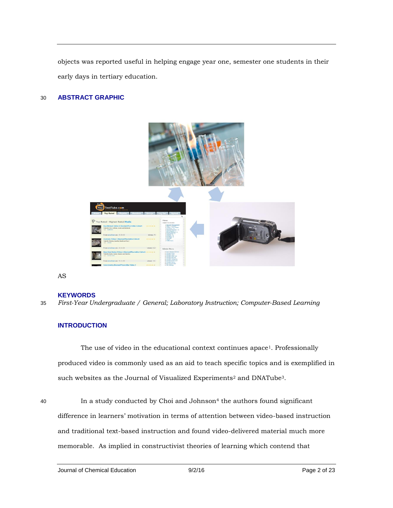objects was reported useful in helping engage year one, semester one students in their early days in tertiary education.

# 30 **ABSTRACT GRAPHIC**



AS

#### **KEYWORDS**

35 *First-Year Undergraduate / General; Laboratory Instruction; Computer-Based Learning* 

# **INTRODUCTION**

The use of video in the educational context continues apace<sup>1</sup>. Professionally produced video is commonly used as an aid to teach specific topics and is exemplified in such websites as the Journal of Visualized Experiments<sup>2</sup> and DNATube<sup>3</sup>.

10 **In a study conducted by Choi and Johnson**<sup>4</sup> the authors found significant difference in learners' motivation in terms of attention between video-based instruction and traditional text-based instruction and found video-delivered material much more memorable. As implied in constructivist theories of learning which contend that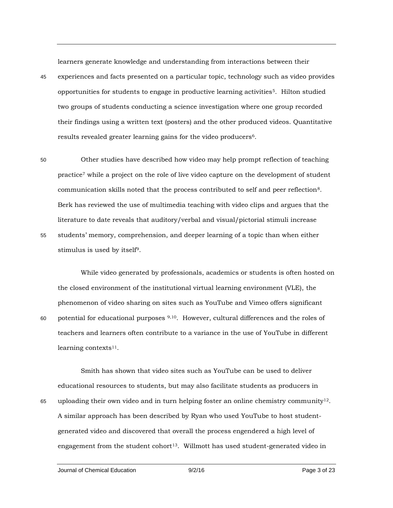learners generate knowledge and understanding from interactions between their

- 45 experiences and facts presented on a particular topic, technology such as video provides opportunities for students to engage in productive learning activities<sup>5</sup>. Hilton studied two groups of students conducting a science investigation where one group recorded their findings using a written text (posters) and the other produced videos. Quantitative results revealed greater learning gains for the video producers<sup>6</sup>.
- 50 Other studies have described how video may help prompt reflection of teaching practice<sup>7</sup> while a project on the role of live video capture on the development of student communication skills noted that the process contributed to self and peer reflection8. Berk has reviewed the use of multimedia teaching with video clips and argues that the literature to date reveals that auditory/verbal and visual/pictorial stimuli increase 55 students' memory, comprehension, and deeper learning of a topic than when either stimulus is used by itself9.

While video generated by professionals, academics or students is often hosted on the closed environment of the institutional virtual learning environment (VLE), the phenomenon of video sharing on sites such as YouTube and Vimeo offers significant 60 potential for educational purposes  $9,10$ . However, cultural differences and the roles of teachers and learners often contribute to a variance in the use of YouTube in different learning contexts $11$ .

Smith has shown that video sites such as YouTube can be used to deliver educational resources to students, but may also facilitate students as producers in 65 uploading their own video and in turn helping foster an online chemistry community<sup>12</sup>. A similar approach has been described by Ryan who used YouTube to host studentgenerated video and discovered that overall the process engendered a high level of engagement from the student cohort<sup>13</sup>. Willmott has used student-generated video in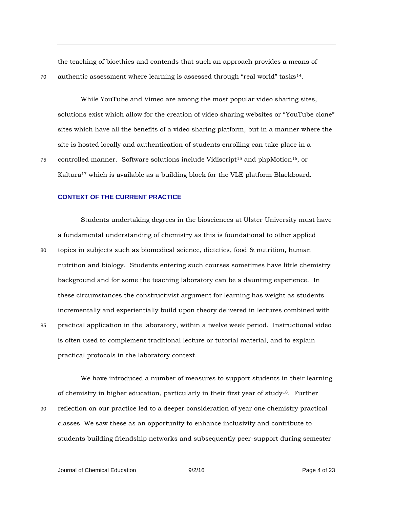the teaching of bioethics and contends that such an approach provides a means of  $70$  authentic assessment where learning is assessed through "real world" tasks<sup>14</sup>.

While YouTube and Vimeo are among the most popular video sharing sites, solutions exist which allow for the creation of video sharing websites or "YouTube clone" sites which have all the benefits of a video sharing platform, but in a manner where the site is hosted locally and authentication of students enrolling can take place in a

75 controlled manner. Software solutions include Vidiscript<sup>15</sup> and phpMotion<sup>16</sup>, or Kaltura<sup>17</sup> which is available as a building block for the VLE platform Blackboard.

## **CONTEXT OF THE CURRENT PRACTICE**

Students undertaking degrees in the biosciences at Ulster University must have a fundamental understanding of chemistry as this is foundational to other applied 80 topics in subjects such as biomedical science, dietetics, food & nutrition, human nutrition and biology. Students entering such courses sometimes have little chemistry background and for some the teaching laboratory can be a daunting experience. In these circumstances the constructivist argument for learning has weight as students incrementally and experientially build upon theory delivered in lectures combined with 85 practical application in the laboratory, within a twelve week period. Instructional video is often used to complement traditional lecture or tutorial material, and to explain practical protocols in the laboratory context.

We have introduced a number of measures to support students in their learning of chemistry in higher education, particularly in their first year of study18. Further 90 reflection on our practice led to a deeper consideration of year one chemistry practical classes. We saw these as an opportunity to enhance inclusivity and contribute to students building friendship networks and subsequently peer-support during semester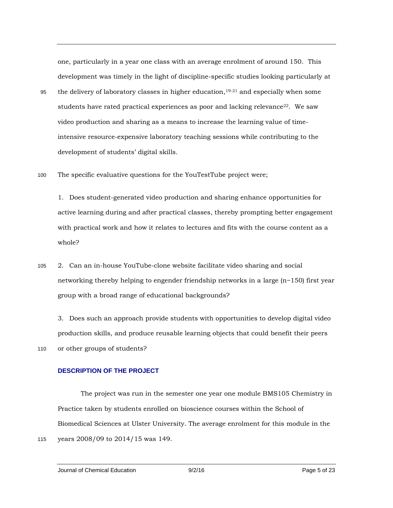one, particularly in a year one class with an average enrolment of around 150. This development was timely in the light of discipline-specific studies looking particularly at the delivery of laboratory classes in higher education,  $19-21$  and especially when some students have rated practical experiences as poor and lacking relevance  $22$ . We saw video production and sharing as a means to increase the learning value of timeintensive resource-expensive laboratory teaching sessions while contributing to the development of students' digital skills.

100 The specific evaluative questions for the YouTestTube project were;

1. Does student-generated video production and sharing enhance opportunities for active learning during and after practical classes, thereby prompting better engagement with practical work and how it relates to lectures and fits with the course content as a whole?

105 2. Can an in-house YouTube-clone website facilitate video sharing and social networking thereby helping to engender friendship networks in a large  $(n \sim 150)$  first year group with a broad range of educational backgrounds?

3. Does such an approach provide students with opportunities to develop digital video production skills, and produce reusable learning objects that could benefit their peers 110 or other groups of students?

# **DESCRIPTION OF THE PROJECT**

The project was run in the semester one year one module BMS105 Chemistry in Practice taken by students enrolled on bioscience courses within the School of Biomedical Sciences at Ulster University. The average enrolment for this module in the

115 years 2008/09 to 2014/15 was 149.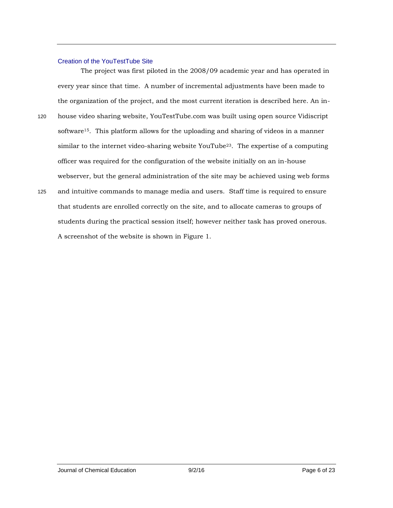## Creation of the YouTestTube Site

The project was first piloted in the 2008/09 academic year and has operated in every year since that time. A number of incremental adjustments have been made to the organization of the project, and the most current iteration is described here. An in-

- 120 house video sharing website, YouTestTube.com was built using open source Vidiscript software15. This platform allows for the uploading and sharing of videos in a manner similar to the internet video-sharing website YouTube<sup>23</sup>. The expertise of a computing officer was required for the configuration of the website initially on an in-house webserver, but the general administration of the site may be achieved using web forms
- 125 and intuitive commands to manage media and users. Staff time is required to ensure that students are enrolled correctly on the site, and to allocate cameras to groups of students during the practical session itself; however neither task has proved onerous. A screenshot of the website is shown in Figure 1.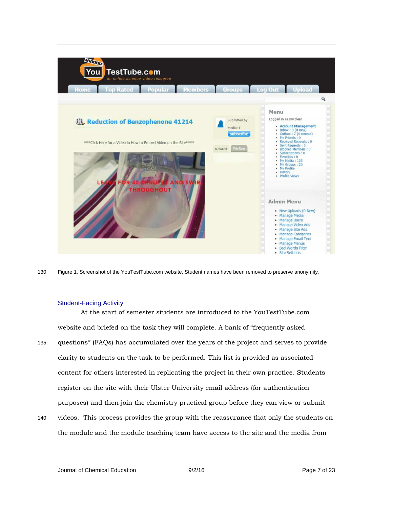

130 Figure 1. Screenshot of the YouTestTube.com website. Student names have been removed to preserve anonymity.

#### Student-Facing Activity

At the start of semester students are introduced to the YouTestTube.com website and briefed on the task they will complete. A bank of "frequently asked 135 questions" (FAQs) has accumulated over the years of the project and serves to provide clarity to students on the task to be performed. This list is provided as associated content for others interested in replicating the project in their own practice. Students register on the site with their Ulster University email address (for authentication purposes) and then join the chemistry practical group before they can view or submit

140 videos. This process provides the group with the reassurance that only the students on the module and the module teaching team have access to the site and the media from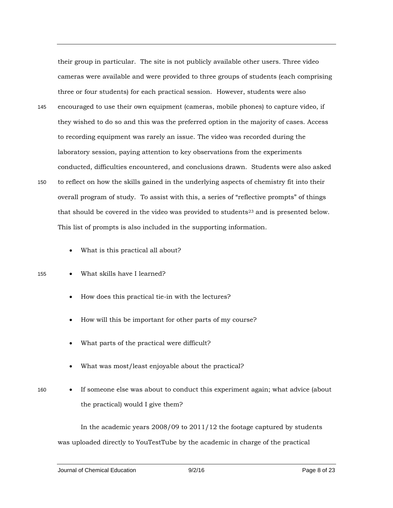their group in particular. The site is not publicly available other users. Three video cameras were available and were provided to three groups of students (each comprising three or four students) for each practical session. However, students were also

- 145 encouraged to use their own equipment (cameras, mobile phones) to capture video, if they wished to do so and this was the preferred option in the majority of cases. Access to recording equipment was rarely an issue. The video was recorded during the laboratory session, paying attention to key observations from the experiments conducted, difficulties encountered, and conclusions drawn. Students were also asked 150 to reflect on how the skills gained in the underlying aspects of chemistry fit into their overall program of study. To assist with this, a series of "reflective prompts" of things that should be covered in the video was provided to students<sup>23</sup> and is presented below. This list of prompts is also included in the supporting information.
	- What is this practical all about?

155 What skills have I learned?

- How does this practical tie-in with the lectures?
- How will this be important for other parts of my course?
- What parts of the practical were difficult?
- What was most/least enjoyable about the practical?
- 
- 160 If someone else was about to conduct this experiment again; what advice (about the practical) would I give them?

In the academic years 2008/09 to 2011/12 the footage captured by students was uploaded directly to YouTestTube by the academic in charge of the practical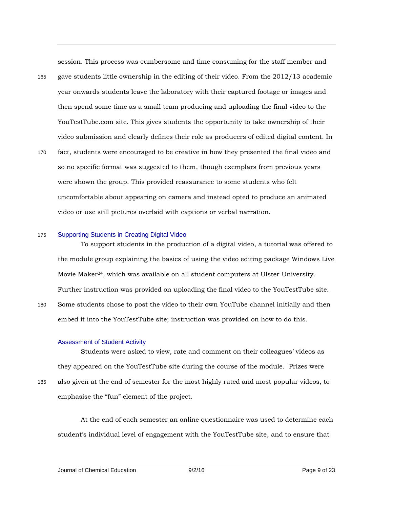session. This process was cumbersome and time consuming for the staff member and

- 165 gave students little ownership in the editing of their video. From the 2012/13 academic year onwards students leave the laboratory with their captured footage or images and then spend some time as a small team producing and uploading the final video to the YouTestTube.com site. This gives students the opportunity to take ownership of their video submission and clearly defines their role as producers of edited digital content. In
- 170 fact, students were encouraged to be creative in how they presented the final video and so no specific format was suggested to them, though exemplars from previous years were shown the group. This provided reassurance to some students who felt uncomfortable about appearing on camera and instead opted to produce an animated video or use still pictures overlaid with captions or verbal narration.

#### 175 Supporting Students in Creating Digital Video

To support students in the production of a digital video, a tutorial was offered to the module group explaining the basics of using the video editing package Windows Live Movie Maker24, which was available on all student computers at Ulster University. Further instruction was provided on uploading the final video to the YouTestTube site. 180 Some students chose to post the video to their own YouTube channel initially and then

#### Assessment of Student Activity

Students were asked to view, rate and comment on their colleagues' videos as they appeared on the YouTestTube site during the course of the module. Prizes were 185 also given at the end of semester for the most highly rated and most popular videos, to emphasise the "fun" element of the project.

embed it into the YouTestTube site; instruction was provided on how to do this.

At the end of each semester an online questionnaire was used to determine each student's individual level of engagement with the YouTestTube site, and to ensure that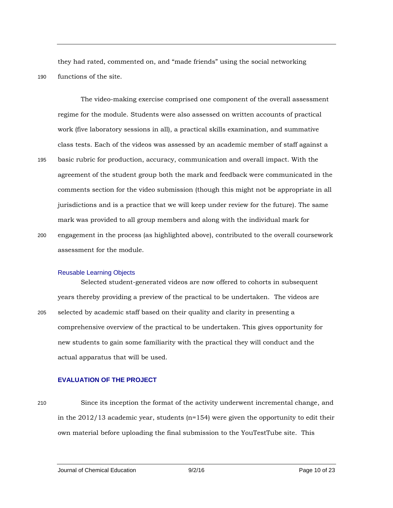they had rated, commented on, and "made friends" using the social networking 190 functions of the site.

The video-making exercise comprised one component of the overall assessment regime for the module. Students were also assessed on written accounts of practical work (five laboratory sessions in all), a practical skills examination, and summative class tests. Each of the videos was assessed by an academic member of staff against a 195 basic rubric for production, accuracy, communication and overall impact. With the agreement of the student group both the mark and feedback were communicated in the comments section for the video submission (though this might not be appropriate in all jurisdictions and is a practice that we will keep under review for the future). The same mark was provided to all group members and along with the individual mark for

200 engagement in the process (as highlighted above), contributed to the overall coursework assessment for the module.

#### Reusable Learning Objects

Selected student-generated videos are now offered to cohorts in subsequent years thereby providing a preview of the practical to be undertaken. The videos are 205 selected by academic staff based on their quality and clarity in presenting a comprehensive overview of the practical to be undertaken. This gives opportunity for new students to gain some familiarity with the practical they will conduct and the actual apparatus that will be used.

## **EVALUATION OF THE PROJECT**

210 Since its inception the format of the activity underwent incremental change, and in the 2012/13 academic year, students (n=154) were given the opportunity to edit their own material before uploading the final submission to the YouTestTube site. This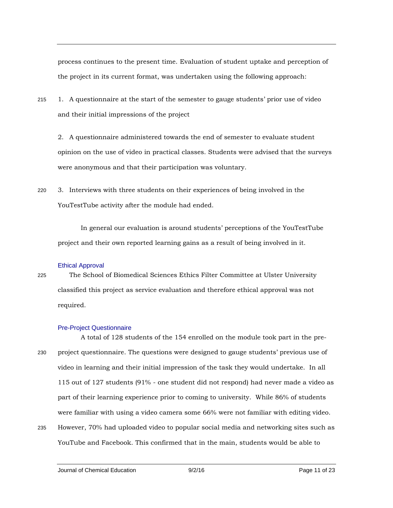process continues to the present time. Evaluation of student uptake and perception of the project in its current format, was undertaken using the following approach:

215 1. A questionnaire at the start of the semester to gauge students' prior use of video and their initial impressions of the project

2. A questionnaire administered towards the end of semester to evaluate student opinion on the use of video in practical classes. Students were advised that the surveys were anonymous and that their participation was voluntary.

220 3. Interviews with three students on their experiences of being involved in the YouTestTube activity after the module had ended.

In general our evaluation is around students' perceptions of the YouTestTube project and their own reported learning gains as a result of being involved in it.

#### Ethical Approval

225 The School of Biomedical Sciences Ethics Filter Committee at Ulster University classified this project as service evaluation and therefore ethical approval was not required.

#### Pre-Project Questionnaire

A total of 128 students of the 154 enrolled on the module took part in the pre-230 project questionnaire. The questions were designed to gauge students' previous use of video in learning and their initial impression of the task they would undertake. In all 115 out of 127 students (91% - one student did not respond) had never made a video as part of their learning experience prior to coming to university. While 86% of students were familiar with using a video camera some 66% were not familiar with editing video.

235 However, 70% had uploaded video to popular social media and networking sites such as YouTube and Facebook. This confirmed that in the main, students would be able to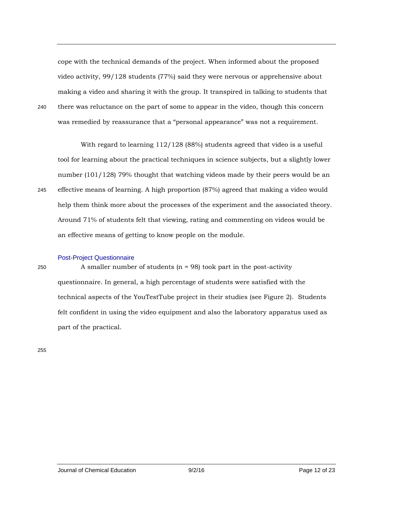cope with the technical demands of the project. When informed about the proposed video activity, 99/128 students (77%) said they were nervous or apprehensive about making a video and sharing it with the group. It transpired in talking to students that 240 there was reluctance on the part of some to appear in the video, though this concern was remedied by reassurance that a "personal appearance" was not a requirement.

With regard to learning 112/128 (88%) students agreed that video is a useful tool for learning about the practical techniques in science subjects, but a slightly lower number (101/128) 79% thought that watching videos made by their peers would be an 245 effective means of learning. A high proportion (87%) agreed that making a video would help them think more about the processes of the experiment and the associated theory. Around 71% of students felt that viewing, rating and commenting on videos would be an effective means of getting to know people on the module.

#### Post-Project Questionnaire

250 A smaller number of students (n = 98) took part in the post-activity questionnaire. In general, a high percentage of students were satisfied with the technical aspects of the YouTestTube project in their studies (see Figure 2). Students felt confident in using the video equipment and also the laboratory apparatus used as part of the practical.

255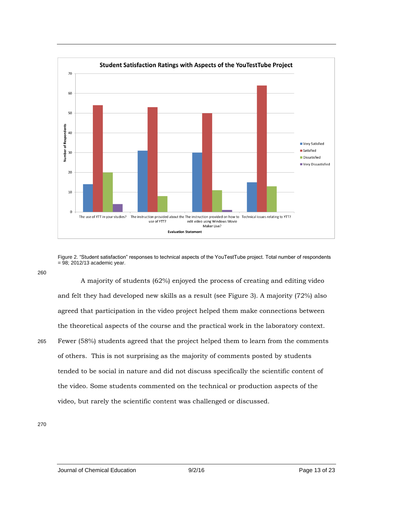

Figure 2. "Student satisfaction" responses to technical aspects of the YouTestTube project. Total number of respondents  $= 98$ ; 2012/13 academic year.

260

A majority of students (62%) enjoyed the process of creating and editing video and felt they had developed new skills as a result (see Figure 3). A majority (72%) also agreed that participation in the video project helped them make connections between the theoretical aspects of the course and the practical work in the laboratory context. 265 Fewer (58%) students agreed that the project helped them to learn from the comments of others. This is not surprising as the majority of comments posted by students tended to be social in nature and did not discuss specifically the scientific content of the video. Some students commented on the technical or production aspects of the video, but rarely the scientific content was challenged or discussed.

270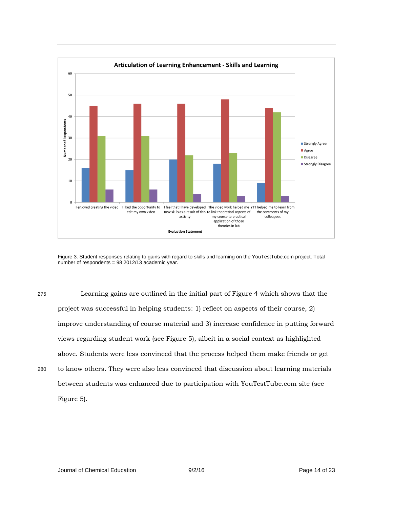

Figure 3. Student responses relating to gains with regard to skills and learning on the YouTestTube.com project. Total number of respondents = 98 2012/13 academic year.

275 Learning gains are outlined in the initial part of Figure 4 which shows that the project was successful in helping students: 1) reflect on aspects of their course, 2) improve understanding of course material and 3) increase confidence in putting forward views regarding student work (see Figure 5), albeit in a social context as highlighted above. Students were less convinced that the process helped them make friends or get 280 to know others. They were also less convinced that discussion about learning materials between students was enhanced due to participation with YouTestTube.com site (see

Figure 5).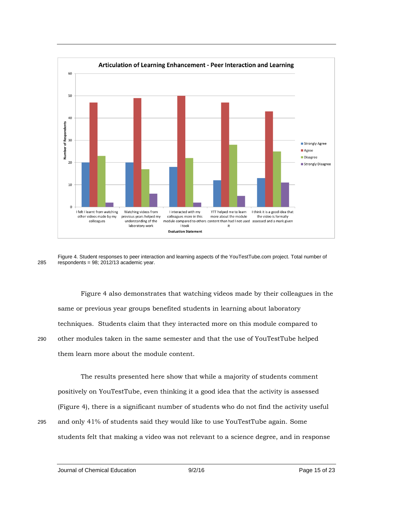

Figure 4. Student responses to peer interaction and learning aspects of the YouTestTube.com project. Total number of 285 respondents =  $98$ ; 2012/13 academic year.

Figure 4 also demonstrates that watching videos made by their colleagues in the same or previous year groups benefited students in learning about laboratory techniques. Students claim that they interacted more on this module compared to 290 other modules taken in the same semester and that the use of YouTestTube helped them learn more about the module content.

The results presented here show that while a majority of students comment positively on YouTestTube, even thinking it a good idea that the activity is assessed (Figure 4), there is a significant number of students who do not find the activity useful

295 and only 41% of students said they would like to use YouTestTube again. Some students felt that making a video was not relevant to a science degree, and in response

Journal of Chemical Education 9/2/16 Page 15 of 23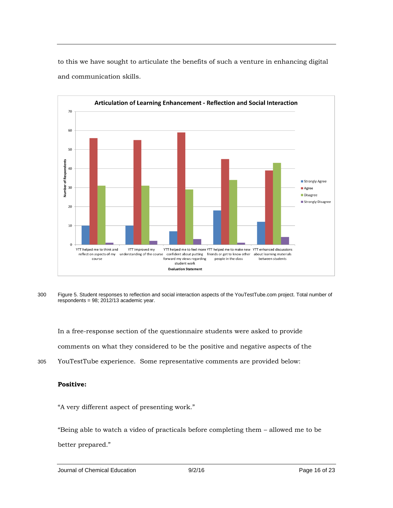

to this we have sought to articulate the benefits of such a venture in enhancing digital and communication skills.

300 Figure 5. Student responses to reflection and social interaction aspects of the YouTestTube.com project. Total number of respondents = 98; 2012/13 academic year.

In a free-response section of the questionnaire students were asked to provide comments on what they considered to be the positive and negative aspects of the

305 YouTestTube experience. Some representative comments are provided below:

# **Positive:**

"A very different aspect of presenting work."

"Being able to watch a video of practicals before completing them – allowed me to be

better prepared."

Journal of Chemical Education 9/2/16 Page 16 of 23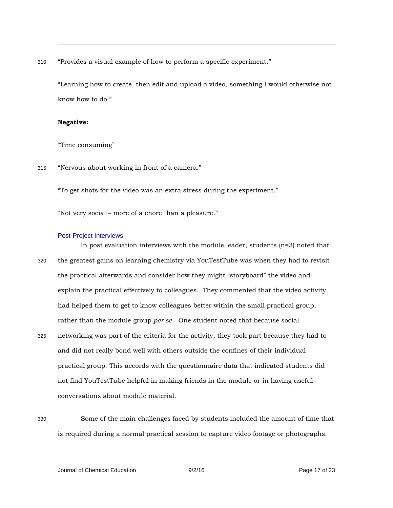310 "Provides a visual example of how to perform a specific experiment."

"Learning how to create, then edit and upload a video, something I would otherwise not know how to do."

# **Negative:**

"Time consuming"

315 "Nervous about working in front of a camera."

"To get shots for the video was an extra stress during the experiment."

"Not very social – more of a chore than a pleasure."

## Post-Project Interviews

- In post evaluation interviews with the module leader, students  $(n=3)$  noted that 320 the greatest gains on learning chemistry via YouTestTube was when they had to revisit the practical afterwards and consider how they might "storyboard" the video and explain the practical effectively to colleagues. They commented that the video activity had helped them to get to know colleagues better within the small practical group, rather than the module group *per se*. One student noted that because social
- 325 networking was part of the criteria for the activity, they took part because they had to and did not really bond well with others outside the confines of their individual practical group. This accords with the questionnaire data that indicated students did not find YouTestTube helpful in making friends in the module or in having useful conversations about module material.
- 

330 Some of the main challenges faced by students included the amount of time that is required during a normal practical session to capture video footage or photographs.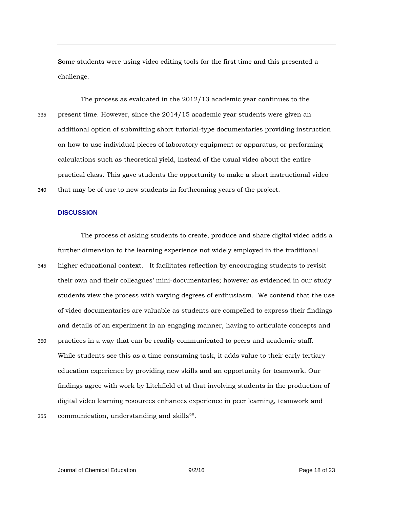Some students were using video editing tools for the first time and this presented a challenge.

The process as evaluated in the 2012/13 academic year continues to the 335 present time. However, since the 2014/15 academic year students were given an additional option of submitting short tutorial-type documentaries providing instruction on how to use individual pieces of laboratory equipment or apparatus, or performing calculations such as theoretical yield, instead of the usual video about the entire practical class. This gave students the opportunity to make a short instructional video 340 that may be of use to new students in forthcoming years of the project.

## **DISCUSSION**

The process of asking students to create, produce and share digital video adds a further dimension to the learning experience not widely employed in the traditional 345 higher educational context. It facilitates reflection by encouraging students to revisit their own and their colleagues' mini-documentaries; however as evidenced in our study students view the process with varying degrees of enthusiasm. We contend that the use of video documentaries are valuable as students are compelled to express their findings and details of an experiment in an engaging manner, having to articulate concepts and 350 practices in a way that can be readily communicated to peers and academic staff. While students see this as a time consuming task, it adds value to their early tertiary education experience by providing new skills and an opportunity for teamwork. Our findings agree with work by Litchfield et al that involving students in the production of

355 communication, understanding and skills $25$ .

digital video learning resources enhances experience in peer learning, teamwork and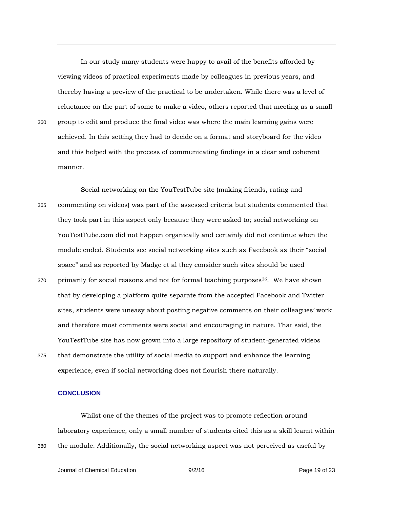In our study many students were happy to avail of the benefits afforded by viewing videos of practical experiments made by colleagues in previous years, and thereby having a preview of the practical to be undertaken. While there was a level of reluctance on the part of some to make a video, others reported that meeting as a small 360 group to edit and produce the final video was where the main learning gains were achieved. In this setting they had to decide on a format and storyboard for the video and this helped with the process of communicating findings in a clear and coherent manner.

Social networking on the YouTestTube site (making friends, rating and 365 commenting on videos) was part of the assessed criteria but students commented that they took part in this aspect only because they were asked to; social networking on YouTestTube.com did not happen organically and certainly did not continue when the module ended. Students see social networking sites such as Facebook as their "social space" and as reported by Madge et al they consider such sites should be used

- 370 primarily for social reasons and not for formal teaching purposes  $26$ . We have shown that by developing a platform quite separate from the accepted Facebook and Twitter sites, students were uneasy about posting negative comments on their colleagues' work and therefore most comments were social and encouraging in nature. That said, the YouTestTube site has now grown into a large repository of student-generated videos
- 375 that demonstrate the utility of social media to support and enhance the learning experience, even if social networking does not flourish there naturally.

#### **CONCLUSION**

Whilst one of the themes of the project was to promote reflection around laboratory experience, only a small number of students cited this as a skill learnt within 380 the module. Additionally, the social networking aspect was not perceived as useful by

Journal of Chemical Education 9/2/16 Page 19 of 23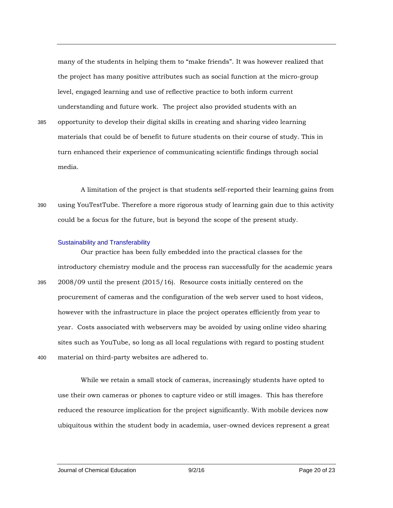many of the students in helping them to "make friends". It was however realized that the project has many positive attributes such as social function at the micro-group level, engaged learning and use of reflective practice to both inform current understanding and future work. The project also provided students with an

385 opportunity to develop their digital skills in creating and sharing video learning materials that could be of benefit to future students on their course of study. This in turn enhanced their experience of communicating scientific findings through social media.

A limitation of the project is that students self-reported their learning gains from 390 using YouTestTube. Therefore a more rigorous study of learning gain due to this activity could be a focus for the future, but is beyond the scope of the present study.

#### Sustainability and Transferability

Our practice has been fully embedded into the practical classes for the introductory chemistry module and the process ran successfully for the academic years 395 2008/09 until the present (2015/16). Resource costs initially centered on the procurement of cameras and the configuration of the web server used to host videos, however with the infrastructure in place the project operates efficiently from year to year. Costs associated with webservers may be avoided by using online video sharing sites such as YouTube, so long as all local regulations with regard to posting student 400 material on third-party websites are adhered to.

While we retain a small stock of cameras, increasingly students have opted to use their own cameras or phones to capture video or still images. This has therefore reduced the resource implication for the project significantly. With mobile devices now ubiquitous within the student body in academia, user-owned devices represent a great

Journal of Chemical Education 9/2/16 Page 20 of 23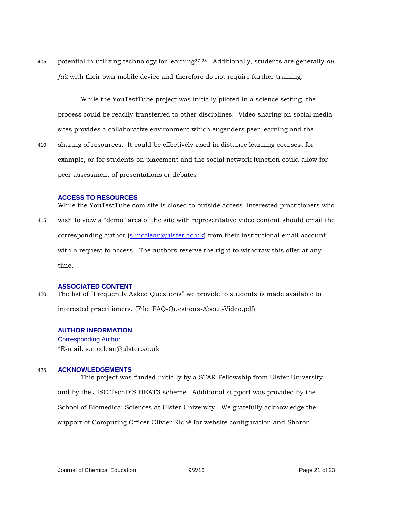405 potential in utilizing technology for learning<sup>27-28</sup>. Additionally, students are generally  $au$ *fait* with their own mobile device and therefore do not require further training.

While the YouTestTube project was initially piloted in a science setting, the process could be readily transferred to other disciplines. Video sharing on social media sites provides a collaborative environment which engenders peer learning and the

410 sharing of resources. It could be effectively used in distance learning courses, for example, or for students on placement and the social network function could allow for peer assessment of presentations or debates.

# **ACCESS TO RESOURCES**

While the YouTestTube.com site is closed to outside access, interested practitioners who 415 wish to view a "demo" area of the site with representative video content should email the corresponding author  $(s.mcclean@ulster.ac.uk)$  from their institutional email account, with a request to access. The authors reserve the right to withdraw this offer at any time.

#### **ASSOCIATED CONTENT**

420 The list of "Frequently Asked Questions" we provide to students is made available to interested practitioners. (File: FAQ-Questions-About-Video.pdf)

# **AUTHOR INFORMATION** Corresponding Author \*E-mail: s.mcclean@ulster.ac.uk

#### 425 **ACKNOWLEDGEMENTS**

This project was funded initially by a STAR Fellowship from Ulster University and by the JISC TechDiS HEAT3 scheme. Additional support was provided by the School of Biomedical Sciences at Ulster University. We gratefully acknowledge the support of Computing Officer Olivier Riché for website configuration and Sharon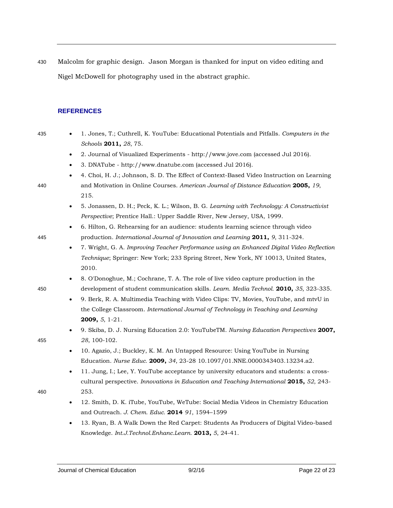430 Malcolm for graphic design. Jason Morgan is thanked for input on video editing and Nigel McDowell for photography used in the abstract graphic.

## **REFERENCES**

435 1. Jones, T.; Cuthrell, K. YouTube: Educational Potentials and Pitfalls. *Computers in the Schools* **2011,** *28*, 75.

- 2. Journal of Visualized Experiments http://www.jove.com (accessed Jul 2016).
- 3. DNATube http://www.dnatube.com (accessed Jul 2016).
- 4. Choi, H. J.; Johnson, S. D. The Effect of Context-Based Video Instruction on Learning 440 and Motivation in Online Courses. *American Journal of Distance Education* **2005,** *19*, 215.
	- 5. Jonassen, D. H.; Peck, K. L.; Wilson, B. G. *Learning with Technology: A Constructivist Perspective*; Prentice Hall.: Upper Saddle River, New Jersey, USA, 1999.
- 6. Hilton, G. Rehearsing for an audience: students learning science through video 445 production. *International Journal of Innovation and Learning* **2011,** *9*, 311-324.
	- 7. Wright, G. A. *Improving Teacher Performance using an Enhanced Digital Video Reflection Technique*; Springer: New York; 233 Spring Street, New York, NY 10013, United States, 2010.
- 8. O'Donoghue, M.; Cochrane, T. A. The role of live video capture production in the 450 development of student communication skills. *Learn. Media Technol.* **2010,** *35*, 323-335.
	- 9. Berk, R. A. Multimedia Teaching with Video Clips: TV, Movies, YouTube, and mtvU in the College Classroom. *International Journal of Technology in Teaching and Learning* **2009,** *5*, 1-21.
- 9. Skiba, D. J. Nursing Education 2.0: YouTubeTM. *Nursing Education Perspectives* **2007,**  455 *28*, 100-102.
	- 10. Agazio, J.; Buckley, K. M. An Untapped Resource: Using YouTube in Nursing Education. *Nurse Educ.* **2009,** *34*, 23-28 10.1097/01.NNE.0000343403.13234.a2.
- 11. Jung, I.; Lee, Y. YouTube acceptance by university educators and students: a crosscultural perspective. *Innovations in Education and Teaching International* **2015,** *52*, 243- 460 253.
	- 12. Smith, D. K. iTube, YouTube, WeTube: Social Media Videos in Chemistry Education and Outreach. *J. Chem. Educ.* **2014** *91*, 1594–1599
	- 13. Ryan, B. A Walk Down the Red Carpet: Students As Producers of Digital Video-based Knowledge. *Int.J.Technol.Enhanc.Learn.* **2013,** *5*, 24-41.